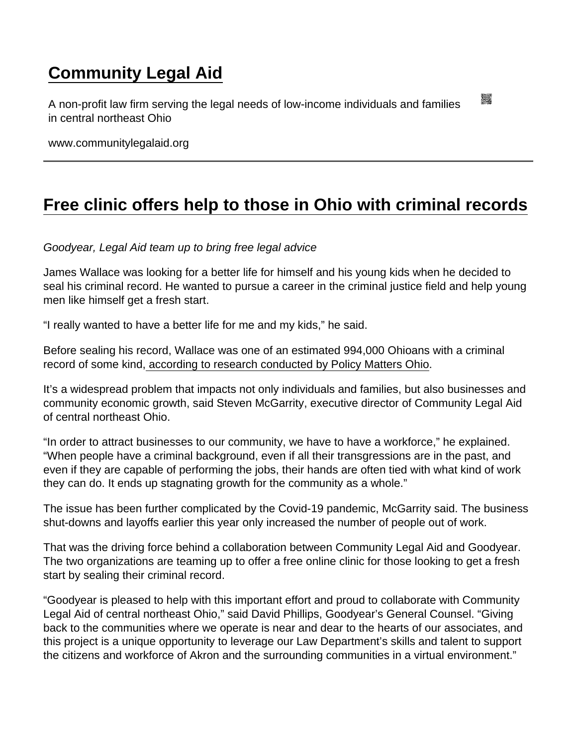## [Community Legal Aid](https://www.communitylegalaid.org/)

A non-profit law firm serving the legal needs of low-income individuals and families in central northeast Ohio

www.communitylegalaid.org

## [Free clinic offers help to those in Ohio with criminal records](https://www.communitylegalaid.org/node/1410/free-clinic-offers-help-those-ohio-criminal-records)

Goodyear, Legal Aid team up to bring free legal advice

James Wallace was looking for a better life for himself and his young kids when he decided to seal his criminal record. He wanted to pursue a career in the criminal justice field and help young men like himself get a fresh start.

"I really wanted to have a better life for me and my kids," he said.

Before sealing his record, Wallace was one of an estimated 994,000 Ohioans with a criminal record of some kind, [according to research conducted by Policy Matters Ohio.](https://www.policymattersohio.org/research-policy/fair-economy/work-wages/wasted-assets-the-cost-of-excluding-ohioans-with-a-record-from-work#:~:text=An estimated 994,000 Ohioans are,criminal record of some kind .)

It's a widespread problem that impacts not only individuals and families, but also businesses and community economic growth, said Steven McGarrity, executive director of Community Legal Aid of central northeast Ohio.

"In order to attract businesses to our community, we have to have a workforce," he explained. "When people have a criminal background, even if all their transgressions are in the past, and even if they are capable of performing the jobs, their hands are often tied with what kind of work they can do. It ends up stagnating growth for the community as a whole."

The issue has been further complicated by the Covid-19 pandemic, McGarrity said. The business shut-downs and layoffs earlier this year only increased the number of people out of work.

That was the driving force behind a collaboration between Community Legal Aid and Goodyear. The two organizations are teaming up to offer a free online clinic for those looking to get a fresh start by sealing their criminal record.

"Goodyear is pleased to help with this important effort and proud to collaborate with Community Legal Aid of central northeast Ohio," said David Phillips, Goodyear's General Counsel. "Giving back to the communities where we operate is near and dear to the hearts of our associates, and this project is a unique opportunity to leverage our Law Department's skills and talent to support the citizens and workforce of Akron and the surrounding communities in a virtual environment."